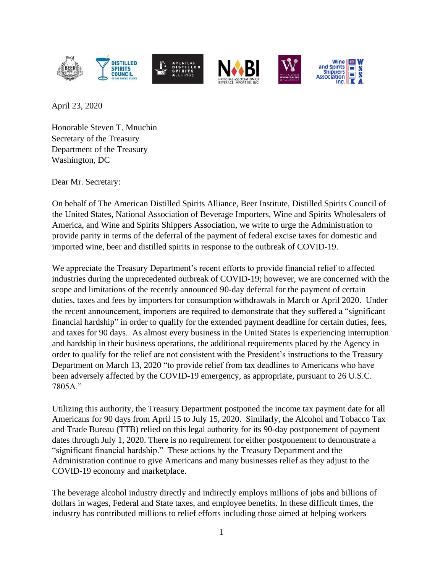

April 23, 2020

Honorable Steven T. Mnuchin Secretary of the Treasury Department of the Treasury Washington, DC

Dear Mr. Secretary:

On behalf of The American Distilled Spirits Alliance, Beer Institute, Distilled Spirits Council of the United States, National Association of Beverage Importers, Wine and Spirits Wholesalers of America, and Wine and Spirits Shippers Association, we write to urge the Administration to provide parity in terms of the deferral of the payment of federal excise taxes for domestic and imported wine, beer and distilled spirits in response to the outbreak of COVID-19.

We appreciate the Treasury Department's recent efforts to provide financial relief to affected industries during the unprecedented outbreak of COVID-19; however, we are concerned with the scope and limitations of the recently announced 90-day deferral for the payment of certain duties, taxes and fees by importers for consumption withdrawals in March or April 2020. Under the recent announcement, importers are required to demonstrate that they suffered a "significant financial hardship" in order to qualify for the extended payment deadline for certain duties, fees, and taxes for 90 days. As almost every business in the United States is experiencing interruption and hardship in their business operations, the additional requirements placed by the Agency in order to qualify for the relief are not consistent with the President's instructions to the Treasury Department on March 13, 2020 "to provide relief from tax deadlines to Americans who have been adversely affected by the COVID-19 emergency, as appropriate, pursuant to 26 U.S.C. 7805A."

Utilizing this authority, the Treasury Department postponed the income tax payment date for all Americans for 90 days from April 15 to July 15, 2020. Similarly, the Alcohol and Tobacco Tax and Trade Bureau (TTB) relied on this legal authority for its 90-day postponement of payment dates through July 1, 2020. There is no requirement for either postponement to demonstrate a "significant financial hardship." These actions by the Treasury Department and the Administration continue to give Americans and many businesses relief as they adjust to the COVID-19 economy and marketplace.

The beverage alcohol industry directly and indirectly employs millions of jobs and billions of dollars in wages, Federal and State taxes, and employee benefits. In these difficult times, the industry has contributed millions to relief efforts including those aimed at helping workers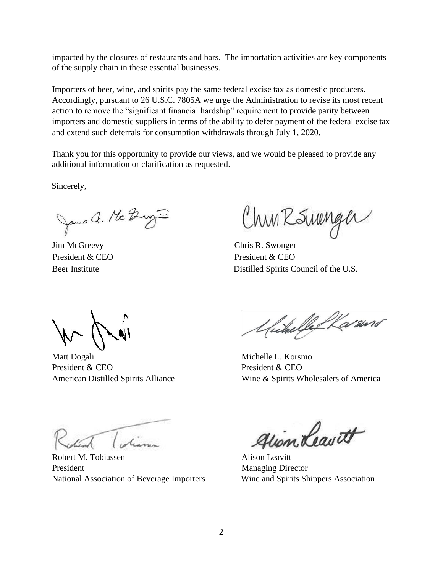impacted by the closures of restaurants and bars. The importation activities are key components of the supply chain in these essential businesses.

Importers of beer, wine, and spirits pay the same federal excise tax as domestic producers. Accordingly, pursuant to 26 U.S.C. 7805A we urge the Administration to revise its most recent action to remove the "significant financial hardship" requirement to provide parity between importers and domestic suppliers in terms of the ability to defer payment of the federal excise tax and extend such deferrals for consumption withdrawals through July 1, 2020.

Thank you for this opportunity to provide our views, and we would be pleased to provide any additional information or clarification as requested.

Sincerely,

James a. Mc Buy ...

Jim McGreevy Chris R. Swonger

Churksmenger

President & CEO President & CEO Beer Institute Distilled Spirits Council of the U.S.

Matt Dogali Michelle L. Korsmo President & CEO President & CEO

Unchelle Warsund

American Distilled Spirits Alliance Wine & Spirits Wholesalers of America

Robert M. Tobiassen Alison Leavitt President Managing Director National Association of Beverage Importers Wine and Spirits Shippers Association

gion Leavett